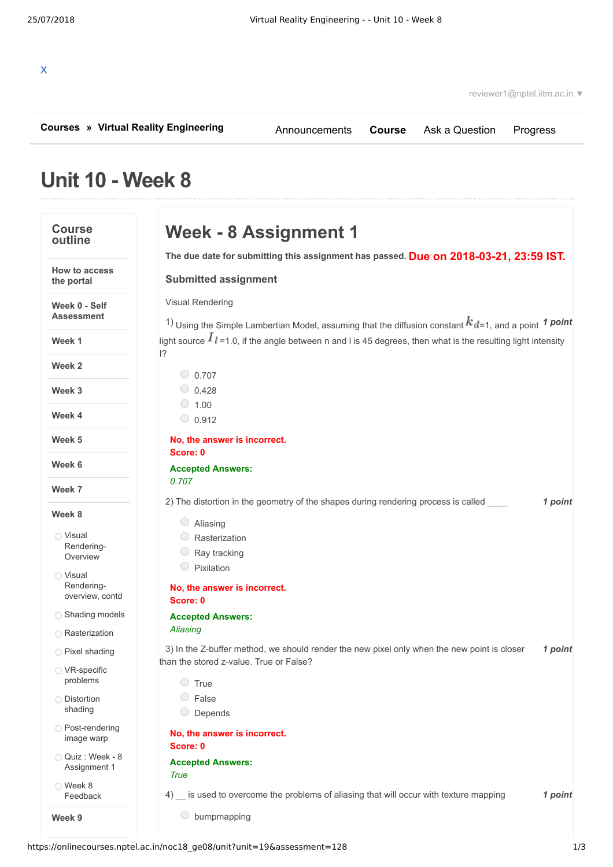

**[Courses](https://onlinecourses.nptel.ac.in/) » [Virtual Reality Engineering](https://onlinecourses.nptel.ac.in/noc18_ge08/course)**

[Announcements](https://onlinecourses.nptel.ac.in/noc18_ge08/announcements) **[Course](https://onlinecourses.nptel.ac.in/noc18_ge08/course)** [Ask a Question](https://onlinecourses.nptel.ac.in/noc18_ge08/forum) [Progress](https://onlinecourses.nptel.ac.in/noc18_ge08/student/home)

# **Unit 10 - Week 8**

| <b>Course</b><br>outline                  | Week - 8 Assignment 1                                                                                                                             |         |  |  |
|-------------------------------------------|---------------------------------------------------------------------------------------------------------------------------------------------------|---------|--|--|
| <b>How to access</b>                      | The due date for submitting this assignment has passed. Due on 2018-03-21, 23:59 IST.                                                             |         |  |  |
| the portal                                | <b>Submitted assignment</b>                                                                                                                       |         |  |  |
| Week 0 - Self<br><b>Assessment</b>        | <b>Visual Rendering</b><br><sup>1</sup> ) Using the Simple Lambertian Model, assuming that the diffusion constant $k_{d=1}$ , and a point 1 point |         |  |  |
| Week 1                                    | light source $I_{l=1.0}$ , if the angle between n and I is 45 degrees, then what is the resulting light intensity<br> ?                           |         |  |  |
| Week 2                                    | $\circ$ 0.707                                                                                                                                     |         |  |  |
| Week 3                                    | $\circ$ 0.428<br>$\circ$ 1.00                                                                                                                     |         |  |  |
| Week 4                                    | $\circ$ 0.912                                                                                                                                     |         |  |  |
| Week 5                                    | No, the answer is incorrect.<br>Score: 0                                                                                                          |         |  |  |
| Week 6                                    | <b>Accepted Answers:</b>                                                                                                                          |         |  |  |
| Week 7                                    | 0.707                                                                                                                                             |         |  |  |
|                                           | 2) The distortion in the geometry of the shapes during rendering process is called                                                                | 1 point |  |  |
| Week 8                                    | Aliasing                                                                                                                                          |         |  |  |
| ◯ Visual                                  | Rasterization                                                                                                                                     |         |  |  |
| Rendering-<br>Overview                    | Ray tracking                                                                                                                                      |         |  |  |
|                                           | Pixilation                                                                                                                                        |         |  |  |
| ◯ Visual<br>Rendering-<br>overview, contd | No, the answer is incorrect.<br>Score: 0                                                                                                          |         |  |  |
| Shading models                            | <b>Accepted Answers:</b>                                                                                                                          |         |  |  |
| <b>C</b> Rasterization                    | Aliasing                                                                                                                                          |         |  |  |
| ◯ Pixel shading                           | 3) In the Z-buffer method, we should render the new pixel only when the new point is closer<br>than the stored z-value. True or False?            | 1 point |  |  |
| ◯ VR-specific<br>problems                 | $\circ$ True                                                                                                                                      |         |  |  |
| <b>Distortion</b><br>shading              | False<br>Depends                                                                                                                                  |         |  |  |
| O Post-rendering<br>image warp            | No, the answer is incorrect.<br>Score: 0                                                                                                          |         |  |  |
| ○ Quiz : Week - 8<br>Assignment 1         | <b>Accepted Answers:</b><br><b>True</b>                                                                                                           |         |  |  |
|                                           |                                                                                                                                                   |         |  |  |

Week 8 [Feedback](https://onlinecourses.nptel.ac.in/noc18_ge08/unit?unit=19&lesson=140)

**Week 9**

- asterization
- ay tracking
- Pixilation

## **Accepted Answers:**

# **Answers:**

4) is used to overcome the problems of aliasing that will occur with texture mapping **1 point** 

bumpmapping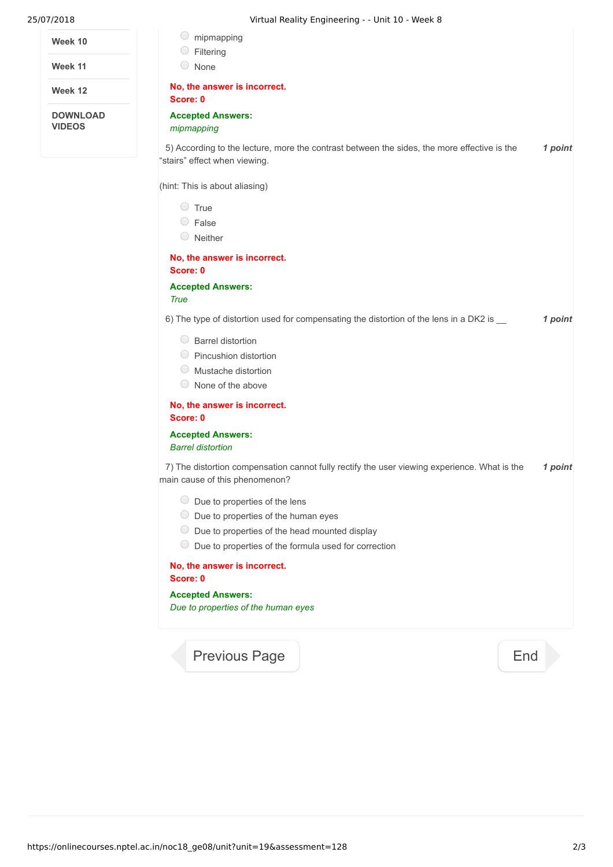| Week 10 |  |
|---------|--|
|---------|--|

**Week 11**

**Week 12**

**DOWNLOAD VIDEOS**

|   | $\circ$ mipmapping                                                                                                             |         |
|---|--------------------------------------------------------------------------------------------------------------------------------|---------|
|   | Filtering<br>O None                                                                                                            |         |
|   | No, the answer is incorrect.                                                                                                   |         |
|   | Score: 0                                                                                                                       |         |
| כ | <b>Accepted Answers:</b><br>mipmapping                                                                                         |         |
|   | 5) According to the lecture, more the contrast between the sides, the more effective is the<br>"stairs" effect when viewing.   | 1 point |
|   | (hint: This is about aliasing)                                                                                                 |         |
|   | $\circ$ True                                                                                                                   |         |
|   | $\circ$ False                                                                                                                  |         |
|   | $\circ$ Neither                                                                                                                |         |
|   | No, the answer is incorrect.<br>Score: 0                                                                                       |         |
|   | <b>Accepted Answers:</b><br><b>True</b>                                                                                        |         |
|   | 6) The type of distortion used for compensating the distortion of the lens in a DK2 is __                                      | 1 point |
|   | ◯ Barrel distortion                                                                                                            |         |
|   | ◯ Pincushion distortion                                                                                                        |         |
|   | $\circ$ Mustache distortion                                                                                                    |         |
|   | $\circ$ None of the above                                                                                                      |         |
|   | No, the answer is incorrect.<br>Score: 0                                                                                       |         |
|   | <b>Accepted Answers:</b><br><b>Barrel distortion</b>                                                                           |         |
|   | 7) The distortion compensation cannot fully rectify the user viewing experience. What is the<br>main cause of this phenomenon? | 1 point |
|   | $\circ$ Due to properties of the lens                                                                                          |         |
|   | $\circ$ Due to properties of the human eyes                                                                                    |         |
|   | $\bigcirc$<br>Due to properties of the head mounted display                                                                    |         |
|   | $\cup$<br>Due to properties of the formula used for correction                                                                 |         |
|   | No, the answer is incorrect.<br>Score: 0                                                                                       |         |
|   | <b>Accepted Answers:</b>                                                                                                       |         |
|   | Due to properties of the human eyes                                                                                            |         |
|   |                                                                                                                                |         |

[Previous Page](https://onlinecourses.nptel.ac.in/noc18_ge08/unit?unit=19&lesson=140) **[End](https://onlinecourses.nptel.ac.in/noc18_ge08/course)**